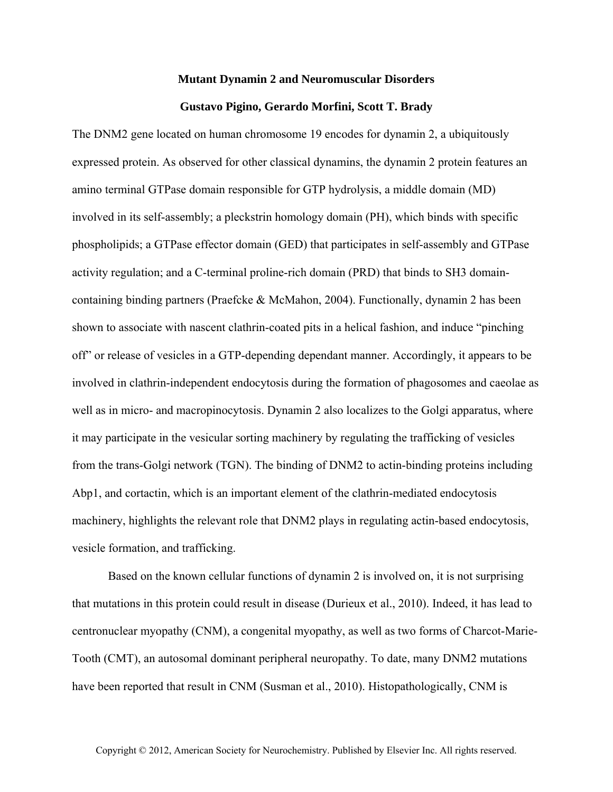## **Mutant Dynamin 2 and Neuromuscular Disorders**

## **Gustavo Pigino, Gerardo Morfini, Scott T. Brady**

The DNM2 gene located on human chromosome 19 encodes for dynamin 2, a ubiquitously expressed protein. As observed for other classical dynamins, the dynamin 2 protein features an amino terminal GTPase domain responsible for GTP hydrolysis, a middle domain (MD) involved in its self-assembly; a pleckstrin homology domain (PH), which binds with specific phospholipids; a GTPase effector domain (GED) that participates in self-assembly and GTPase activity regulation; and a C-terminal proline-rich domain (PRD) that binds to SH3 domaincontaining binding partners (Praefcke & McMahon, 2004). Functionally, dynamin 2 has been shown to associate with nascent clathrin-coated pits in a helical fashion, and induce "pinching off" or release of vesicles in a GTP-depending dependant manner. Accordingly, it appears to be involved in clathrin-independent endocytosis during the formation of phagosomes and caeolae as well as in micro- and macropinocytosis. Dynamin 2 also localizes to the Golgi apparatus, where it may participate in the vesicular sorting machinery by regulating the trafficking of vesicles from the trans-Golgi network (TGN). The binding of DNM2 to actin-binding proteins including Abp1, and cortactin, which is an important element of the clathrin-mediated endocytosis machinery, highlights the relevant role that DNM2 plays in regulating actin-based endocytosis, vesicle formation, and trafficking.

Based on the known cellular functions of dynamin 2 is involved on, it is not surprising that mutations in this protein could result in disease (Durieux et al., 2010). Indeed, it has lead to centronuclear myopathy (CNM), a congenital myopathy, as well as two forms of Charcot-Marie-Tooth (CMT), an autosomal dominant peripheral neuropathy. To date, many DNM2 mutations have been reported that result in CNM (Susman et al., 2010). Histopathologically, CNM is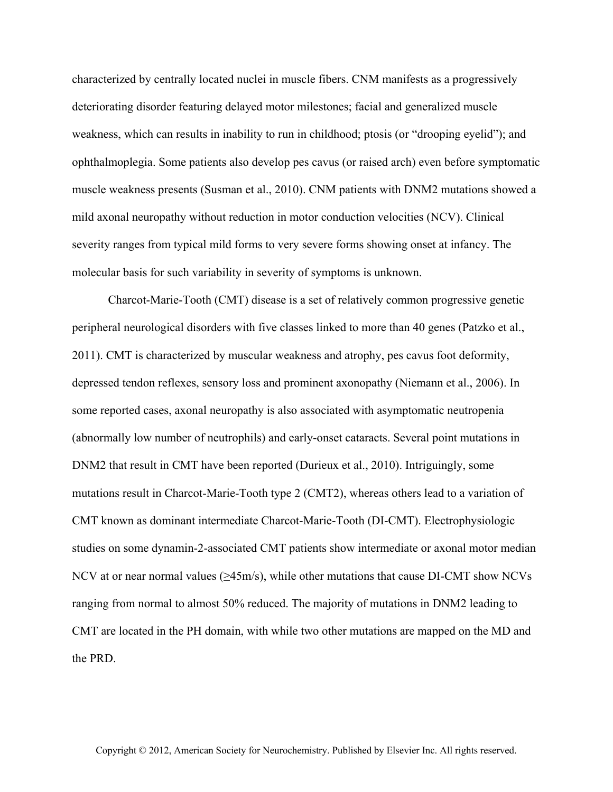characterized by centrally located nuclei in muscle fibers. CNM manifests as a progressively deteriorating disorder featuring delayed motor milestones; facial and generalized muscle weakness, which can results in inability to run in childhood; ptosis (or "drooping eyelid"); and ophthalmoplegia. Some patients also develop pes cavus (or raised arch) even before symptomatic muscle weakness presents (Susman et al., 2010). CNM patients with DNM2 mutations showed a mild axonal neuropathy without reduction in motor conduction velocities (NCV). Clinical severity ranges from typical mild forms to very severe forms showing onset at infancy. The molecular basis for such variability in severity of symptoms is unknown.

Charcot-Marie-Tooth (CMT) disease is a set of relatively common progressive genetic peripheral neurological disorders with five classes linked to more than 40 genes (Patzko et al., 2011). CMT is characterized by muscular weakness and atrophy, pes cavus foot deformity, depressed tendon reflexes, sensory loss and prominent axonopathy (Niemann et al., 2006). In some reported cases, axonal neuropathy is also associated with asymptomatic neutropenia (abnormally low number of neutrophils) and early-onset cataracts. Several point mutations in DNM2 that result in CMT have been reported (Durieux et al., 2010). Intriguingly, some mutations result in Charcot-Marie-Tooth type 2 (CMT2), whereas others lead to a variation of CMT known as dominant intermediate Charcot-Marie-Tooth (DI-CMT). Electrophysiologic studies on some dynamin-2-associated CMT patients show intermediate or axonal motor median NCV at or near normal values ( $\geq$ 45m/s), while other mutations that cause DI-CMT show NCVs ranging from normal to almost 50% reduced. The majority of mutations in DNM2 leading to CMT are located in the PH domain, with while two other mutations are mapped on the MD and the PRD.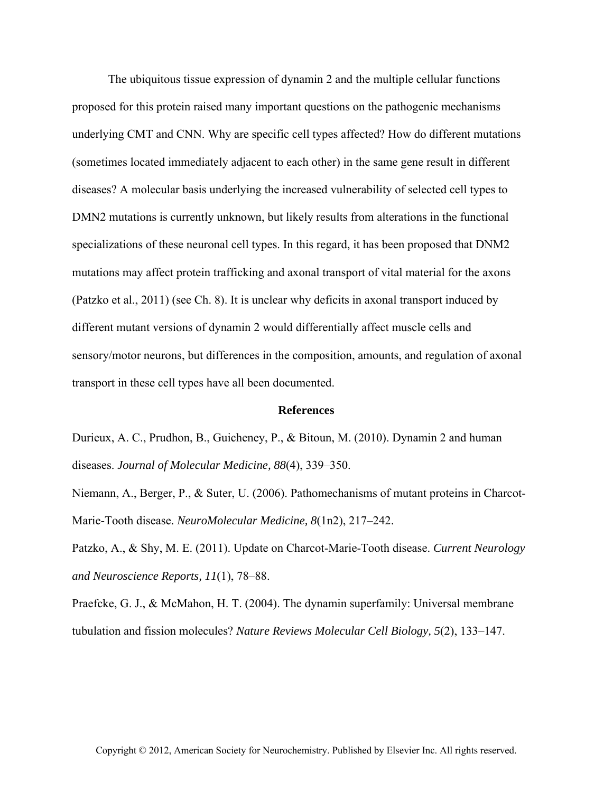The ubiquitous tissue expression of dynamin 2 and the multiple cellular functions proposed for this protein raised many important questions on the pathogenic mechanisms underlying CMT and CNN. Why are specific cell types affected? How do different mutations (sometimes located immediately adjacent to each other) in the same gene result in different diseases? A molecular basis underlying the increased vulnerability of selected cell types to DMN2 mutations is currently unknown, but likely results from alterations in the functional specializations of these neuronal cell types. In this regard, it has been proposed that DNM2 mutations may affect protein trafficking and axonal transport of vital material for the axons (Patzko et al., 2011) (see Ch. 8). It is unclear why deficits in axonal transport induced by different mutant versions of dynamin 2 would differentially affect muscle cells and sensory/motor neurons, but differences in the composition, amounts, and regulation of axonal transport in these cell types have all been documented.

## **References**

Durieux, A. C., Prudhon, B., Guicheney, P., & Bitoun, M. (2010). Dynamin 2 and human diseases. *Journal of Molecular Medicine, 88*(4), 339–350.

Niemann, A., Berger, P., & Suter, U. (2006). Pathomechanisms of mutant proteins in Charcot-Marie-Tooth disease. *NeuroMolecular Medicine, 8*(1n2), 217–242.

Patzko, A., & Shy, M. E. (2011). Update on Charcot-Marie-Tooth disease. *Current Neurology and Neuroscience Reports, 11*(1), 78–88.

Praefcke, G. J., & McMahon, H. T. (2004). The dynamin superfamily: Universal membrane tubulation and fission molecules? *Nature Reviews Molecular Cell Biology, 5*(2), 133–147.